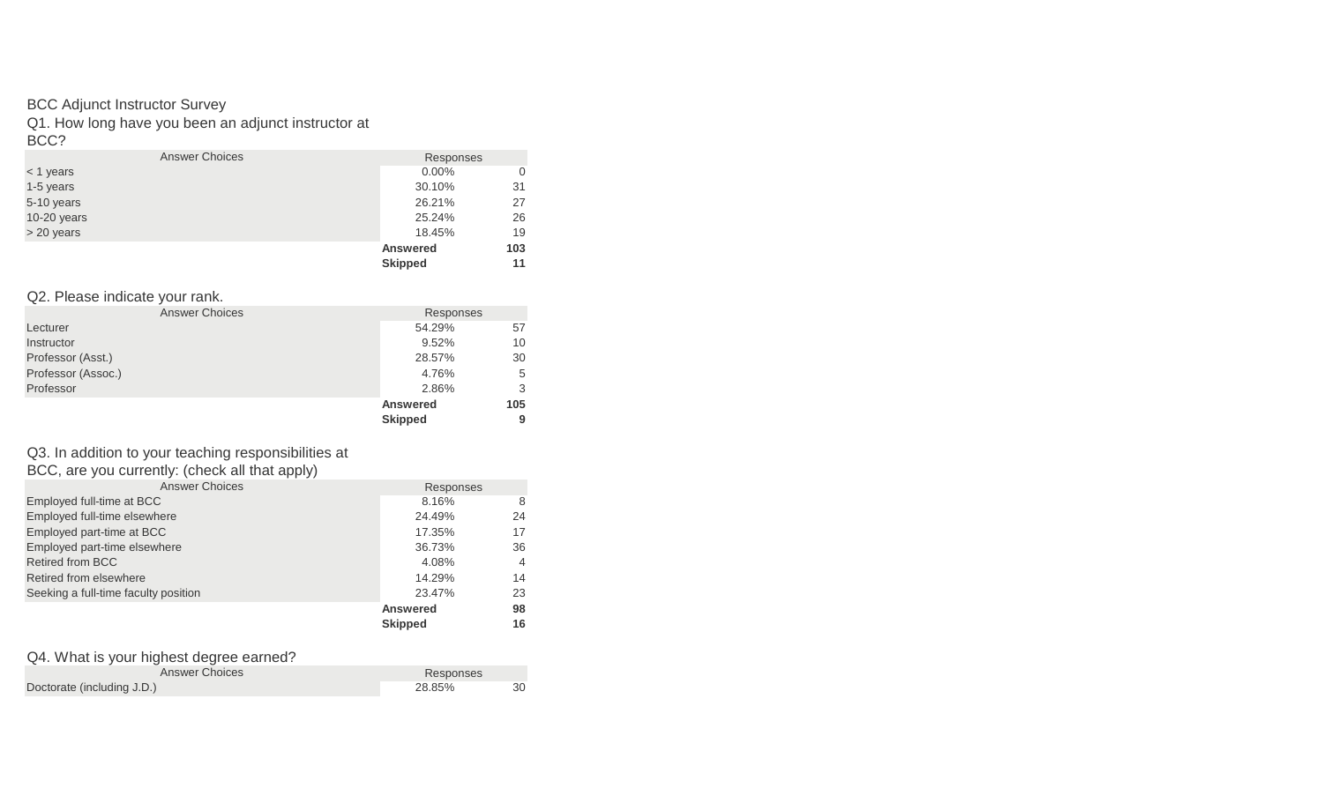#### BCC Adjunct Instructor Survey

Q1. How long have you been an adjunct instructor at

BCC?

|             | <b>Answer Choices</b> | Responses       |     |
|-------------|-----------------------|-----------------|-----|
| $<$ 1 years |                       | $0.00\%$        |     |
| 1-5 years   |                       | 30.10%          | 31  |
| 5-10 years  |                       | 26.21%          | 27  |
| 10-20 years |                       | 25.24%          | 26  |
| > 20 years  |                       | 18.45%          | 19  |
|             |                       | <b>Answered</b> | 103 |
|             |                       | <b>Skipped</b>  | 11  |

#### Q2. Please indicate your rank.

|                    | <b>Answer Choices</b> | Responses       |     |
|--------------------|-----------------------|-----------------|-----|
| Lecturer           |                       | 54.29%          | 57  |
| Instructor         |                       | 9.52%           | 10  |
| Professor (Asst.)  |                       | 28.57%          | 30  |
| Professor (Assoc.) |                       | 4.76%           | 5   |
| Professor          |                       | 2.86%           | 3   |
|                    |                       | <b>Answered</b> | 105 |
|                    |                       | <b>Skipped</b>  | 9   |

# Q3. In addition to your teaching responsibilities at

| <b>Answer Choices</b>                | Responses       |                |
|--------------------------------------|-----------------|----------------|
| Employed full-time at BCC            | 8.16%           | 8              |
| Employed full-time elsewhere         | 24.49%          | 24             |
| Employed part-time at BCC            | 17.35%          | 17             |
| Employed part-time elsewhere         | 36.73%          | 36             |
| <b>Retired from BCC</b>              | 4.08%           | $\overline{4}$ |
| Retired from elsewhere               | 14.29%          | 14             |
| Seeking a full-time faculty position | 23.47%          | 23             |
|                                      | <b>Answered</b> | 98             |
|                                      | <b>Skipped</b>  | 16             |

#### Q4. What is your highest degree earned?

| Answer Choices             | Responses |  |
|----------------------------|-----------|--|
| Doctorate (including J.D.) | 28.85%    |  |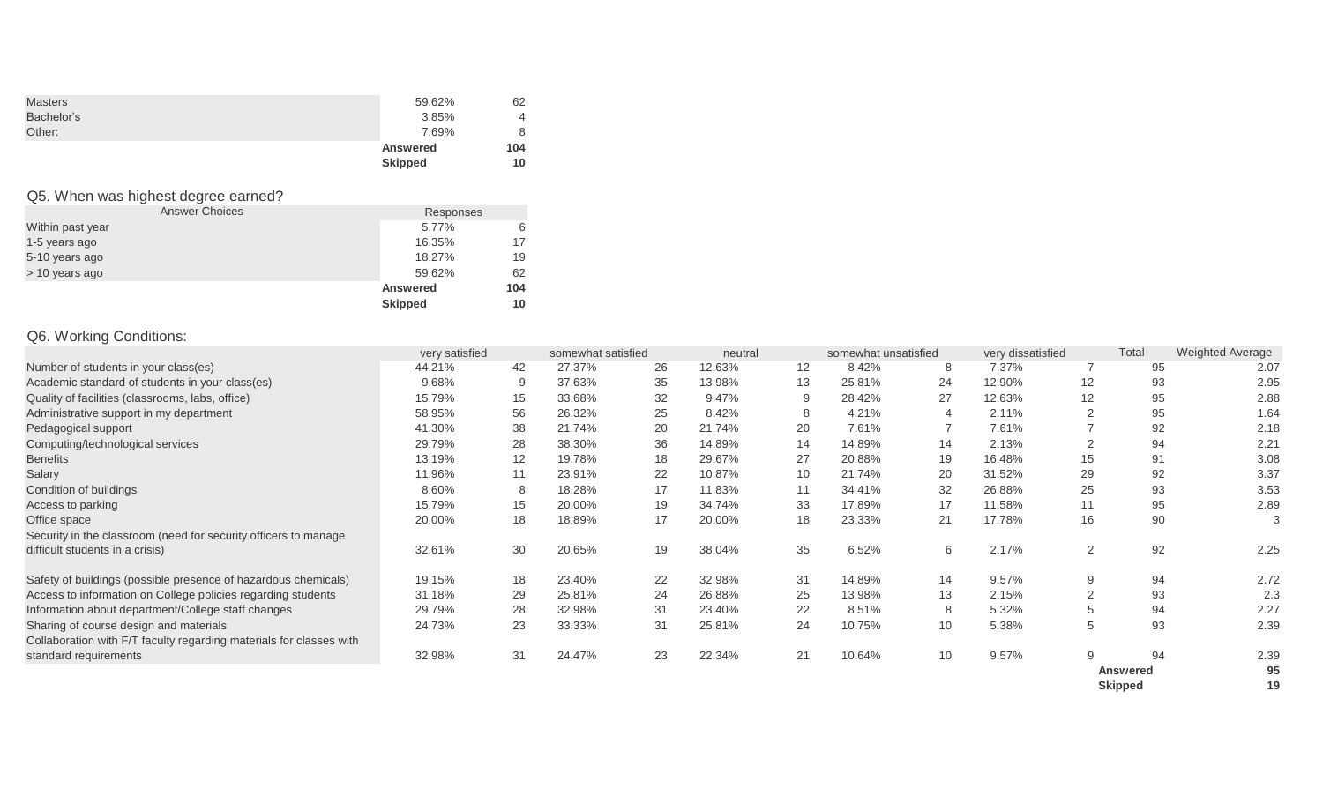|                | <b>Skipped</b>  | 10  |
|----------------|-----------------|-----|
|                | <b>Answered</b> | 104 |
| Other:         | 7.69%           |     |
| Bachelor's     | 3.85%           | 4   |
| <b>Masters</b> | 59.62%          | 62  |
|                |                 |     |

# Q5. When was highest degree earned?

| <b>Answer Choices</b> | Responses       |     |
|-----------------------|-----------------|-----|
| Within past year      | 5.77%           | 6   |
| 1-5 years ago         | 16.35%          | 17  |
| 5-10 years ago        | 18.27%          | 19  |
| > 10 years ago        | 59.62%          | 62  |
|                       | <b>Answered</b> | 104 |
|                       | <b>Skipped</b>  | 10  |

# Q6. Working Conditions:

|                                                                     | very satisfied |    | somewhat satisfied |    | neutral |    | somewhat unsatisfied |    | very dissatisfied |                 | Total           | <b>Weighted Average</b> |
|---------------------------------------------------------------------|----------------|----|--------------------|----|---------|----|----------------------|----|-------------------|-----------------|-----------------|-------------------------|
| Number of students in your class(es)                                | 44.21%         | 42 | 27.37%             | 26 | 12.63%  | 12 | 8.42%                | 8  | 7.37%             |                 | 95              | 2.07                    |
| Academic standard of students in your class(es)                     | 9.68%          | 9  | 37.63%             | 35 | 13.98%  | 13 | 25.81%               | 24 | 12.90%            | 12 <sup>°</sup> | 93              | 2.95                    |
| Quality of facilities (classrooms, labs, office)                    | 15.79%         | 15 | 33.68%             | 32 | 9.47%   | 9  | 28.42%               | 27 | 12.63%            | 12              | 95              | 2.88                    |
| Administrative support in my department                             | 58.95%         | 56 | 26.32%             | 25 | 8.42%   | 8  | 4.21%                | 4  | 2.11%             |                 | 95              | 1.64                    |
| Pedagogical support                                                 | 41.30%         | 38 | 21.74%             | 20 | 21.74%  | 20 | 7.61%                |    | 7.61%             |                 | 92              | 2.18                    |
| Computing/technological services                                    | 29.79%         | 28 | 38.30%             | 36 | 14.89%  | 14 | 14.89%               | 14 | 2.13%             | $\Omega$        | 94              | 2.21                    |
| <b>Benefits</b>                                                     | 13.19%         | 12 | 19.78%             | 18 | 29.67%  | 27 | 20.88%               | 19 | 16.48%            | 15              | 91              | 3.08                    |
| Salary                                                              | 11.96%         | 11 | 23.91%             | 22 | 10.87%  | 10 | 21.74%               | 20 | 31.52%            | 29              | 92              | 3.37                    |
| Condition of buildings                                              | 8.60%          | 8  | 18.28%             | 17 | 11.83%  | 11 | 34.41%               | 32 | 26.88%            | 25              | 93              | 3.53                    |
| Access to parking                                                   | 15.79%         | 15 | 20.00%             | 19 | 34.74%  | 33 | 17.89%               | 17 | 11.58%            |                 | 95              | 2.89                    |
| Office space                                                        | 20.00%         | 18 | 18.89%             | 17 | 20.00%  | 18 | 23.33%               | 21 | 17.78%            | 16              | 90              |                         |
| Security in the classroom (need for security officers to manage     |                |    |                    |    |         |    |                      |    |                   |                 |                 |                         |
| difficult students in a crisis)                                     | 32.61%         | 30 | 20.65%             | 19 | 38.04%  | 35 | 6.52%                | 6  | 2.17%             | 2               | 92              | 2.25                    |
| Safety of buildings (possible presence of hazardous chemicals)      | 19.15%         | 18 | 23.40%             | 22 | 32.98%  | 31 | 14.89%               | 14 | 9.57%             | 9               | 94              | 2.72                    |
| Access to information on College policies regarding students        | 31.18%         | 29 | 25.81%             | 24 | 26.88%  | 25 | 13.98%               | 13 | 2.15%             | 2               | 93              | 2.3                     |
| Information about department/College staff changes                  | 29.79%         | 28 | 32.98%             | 31 | 23.40%  | 22 | 8.51%                | 8  | 5.32%             | 5               | 94              | 2.27                    |
| Sharing of course design and materials                              | 24.73%         | 23 | 33.33%             | 31 | 25.81%  | 24 | 10.75%               | 10 | 5.38%             | 5               | 93              | 2.39                    |
| Collaboration with F/T faculty regarding materials for classes with |                |    |                    |    |         |    |                      |    |                   |                 |                 |                         |
| standard requirements                                               | 32.98%         | 31 | 24.47%             | 23 | 22.34%  | 21 | 10.64%               | 10 | 9.57%             | 9               | 94              | 2.39                    |
|                                                                     |                |    |                    |    |         |    |                      |    |                   |                 | <b>Answered</b> | 95                      |
|                                                                     |                |    |                    |    |         |    |                      |    |                   |                 | <b>Skipped</b>  | 19                      |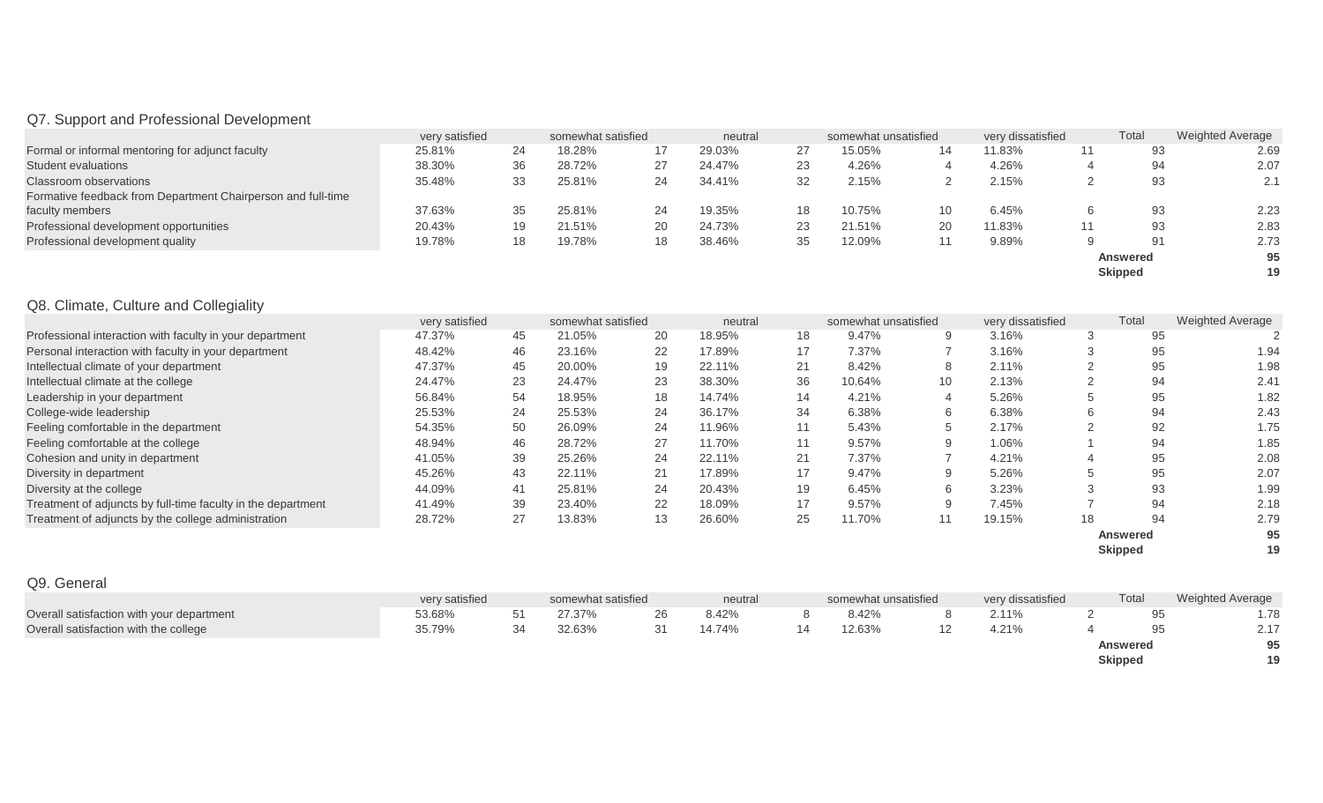# Q7. Support and Professional Development

|                                                              | very satisfied |    | somewhat satisfied |    | neutral |    | somewhat unsatisfied |    | very dissatisfied | Total          | <b>Weighted Average</b> |  |
|--------------------------------------------------------------|----------------|----|--------------------|----|---------|----|----------------------|----|-------------------|----------------|-------------------------|--|
| Formal or informal mentoring for adjunct faculty             | 25.81%         | 24 | 18.28%             |    | 29.03%  | 27 | 15.05%               | 14 | 11.83%            | 93             | 2.69                    |  |
| <b>Student evaluations</b>                                   | 38.30%         | 36 | 28.72%             |    | 24.47%  | 23 | 4.26%                |    | 4.26%             | 94             | 2.07                    |  |
| Classroom observations                                       | 35.48%         | 33 | 25.81%             | 24 | 34.41%  | 32 | 2.15%                |    | 2.15%             | 93             | 2.1                     |  |
| Formative feedback from Department Chairperson and full-time |                |    |                    |    |         |    |                      |    |                   |                |                         |  |
| faculty members                                              | 37.63%         | 35 | 25.81%             | 24 | 19.35%  | 18 | 10.75%               |    | 6.45%             | 93             | 2.23                    |  |
| Professional development opportunities                       | 20.43%         | 19 | 21.51%             | 20 | 24.73%  | 23 | 21.51%               | 20 | 11.83%            | 93             | 2.83                    |  |
| Professional development quality                             | 19.78%         | 18 | 19.78%             | 18 | 38.46%  | 35 | 12.09%               |    | 9.89%             | 91             | 2.73                    |  |
|                                                              |                |    |                    |    |         |    |                      |    |                   | Answered       | 95                      |  |
|                                                              |                |    |                    |    |         |    |                      |    |                   | <b>Skipped</b> | 19                      |  |

# Q8. Climate, Culture and Collegiality

|                                                              | very satisfied |    | somewhat satisfied |    | neutral |    | somewhat unsatisfied |                 | very dissatisfied |    | Total           | <b>Weighted Average</b> |
|--------------------------------------------------------------|----------------|----|--------------------|----|---------|----|----------------------|-----------------|-------------------|----|-----------------|-------------------------|
| Professional interaction with faculty in your department     | 47.37%         | 45 | 21.05%             | 20 | 18.95%  | 18 | 9.47%                | 9               | 3.16%             |    | 95              |                         |
| Personal interaction with faculty in your department         | 48.42%         | 46 | 23.16%             | 22 | 17.89%  | 17 | 7.37%                |                 | 3.16%             |    | 95              | 1.94                    |
| Intellectual climate of your department                      | 47.37%         | 45 | 20.00%             | 19 | 22.11%  | 21 | 8.42%                | 8               | 2.11%             |    | 95              | 1.98                    |
| Intellectual climate at the college                          | 24.47%         | 23 | 24.47%             | 23 | 38.30%  | 36 | 10.64%               | 10 <sup>°</sup> | 2.13%             |    | 94              | 2.41                    |
| Leadership in your department                                | 56.84%         | 54 | 18.95%             | 18 | 14.74%  | 14 | 4.21%                |                 | 5.26%             |    | 95              | 1.82                    |
| College-wide leadership                                      | 25.53%         | 24 | 25.53%             | 24 | 36.17%  | 34 | 6.38%                | 6               | 6.38%             |    | 94              | 2.43                    |
| Feeling comfortable in the department                        | 54.35%         | 50 | 26.09%             | 24 | 11.96%  | 11 | 5.43%                |                 | 2.17%             |    | 92              | 1.75                    |
| Feeling comfortable at the college                           | 48.94%         | 46 | 28.72%             | 27 | 11.70%  | 11 | 9.57%                |                 | 1.06%             |    | 94              | 1.85                    |
| Cohesion and unity in department                             | 41.05%         | 39 | 25.26%             | 24 | 22.11%  | 21 | 7.37%                |                 | 4.21%             |    | 95              | 2.08                    |
| Diversity in department                                      | 45.26%         | 43 | 22.11%             | 21 | 17.89%  | 17 | 9.47%                | 9               | 5.26%             |    | 95              | 2.07                    |
| Diversity at the college                                     | 44.09%         | 41 | 25.81%             | 24 | 20.43%  | 19 | 6.45%                | 6               | 3.23%             |    | 93              | 1.99                    |
| Treatment of adjuncts by full-time faculty in the department | 41.49%         | 39 | 23.40%             | 22 | 18.09%  | 17 | 9.57%                | 9               | 7.45%             |    | 94              | 2.18                    |
| Treatment of adjuncts by the college administration          | 28.72%         | 27 | 13.83%             | 13 | 26.60%  | 25 | 11.70%               |                 | 19.15%            | 18 | 94              | 2.79                    |
|                                                              |                |    |                    |    |         |    |                      |                 |                   |    | <b>Answered</b> | 95                      |
|                                                              |                |    |                    |    |         |    |                      |                 |                   |    | <b>Skipped</b>  | 19                      |

| Q9. General                               |                |                    |         |    |                      |                   |                |                  |
|-------------------------------------------|----------------|--------------------|---------|----|----------------------|-------------------|----------------|------------------|
|                                           | very satisfied | somewhat satisfied | neutral |    | somewhat unsatisfied | very dissatisfied | Total          | Weighted Average |
| Overall satisfaction with your department | 53.68%         | 27.37%             | 8.42%   |    | 8.42%                | 2.11%             | 95             | 1.78             |
| Overall satisfaction with the college     | 35.79%         | 32.63%             | 14.74%  | 14 | 12.63%               | 4.21%             | 95             | 2.17             |
|                                           |                |                    |         |    |                      |                   | Answered       | 95               |
|                                           |                |                    |         |    |                      |                   | <b>Skipped</b> | 19               |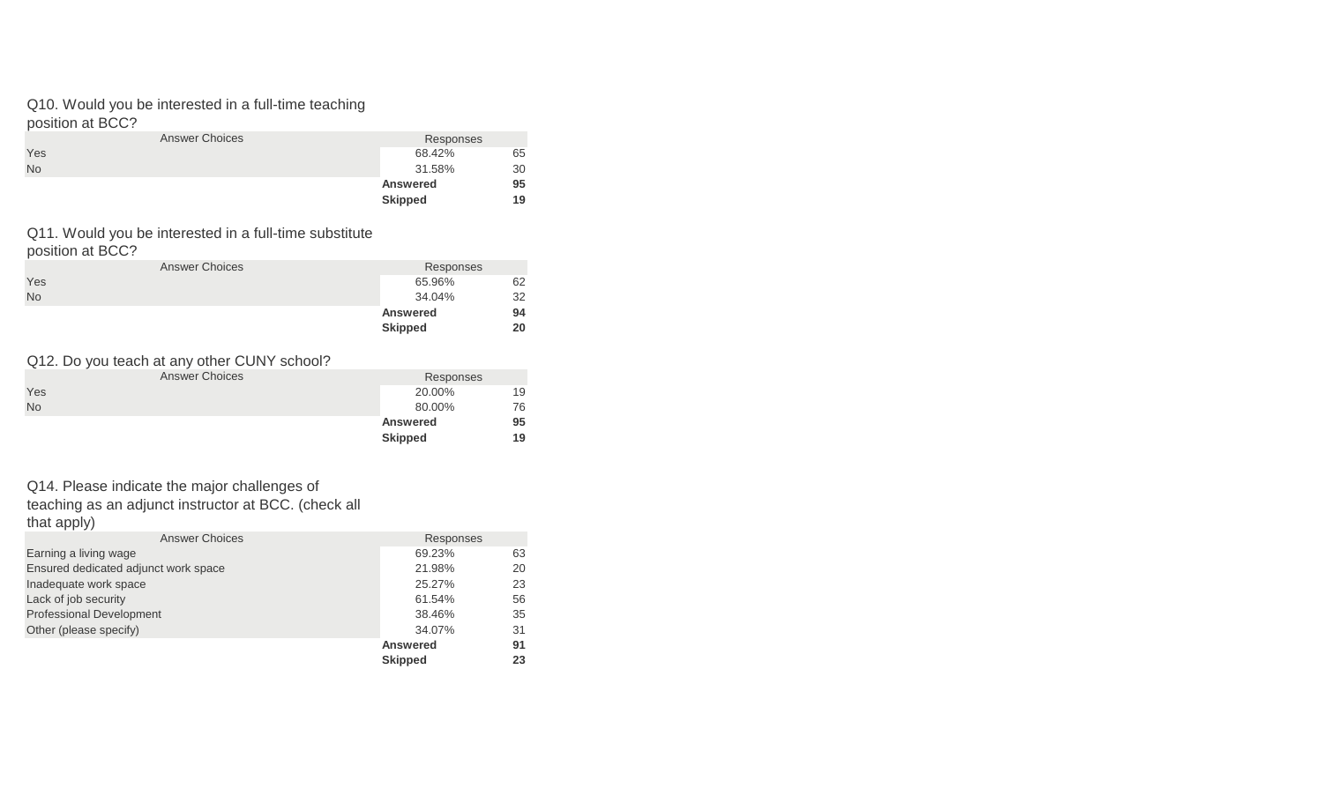#### Q10. Would you be interested in a full-time teaching position at BCC?

|           |                       | <b>Skipped</b>  | 19 |
|-----------|-----------------------|-----------------|----|
|           |                       | <b>Answered</b> | 95 |
| <b>No</b> |                       | 31.58%          | 30 |
| Yes       |                       | 68.42%          | 65 |
|           | <b>Answer Choices</b> | Responses       |    |
|           |                       |                 |    |

#### Q11. Would you be interested in a full-time substitute position at BCC?

|           |                       | <b>Skipped</b>  | 20 |
|-----------|-----------------------|-----------------|----|
|           |                       | <b>Answered</b> | 94 |
| <b>No</b> |                       | 34.04%          | 32 |
| Yes       |                       | 65.96%          | 62 |
|           | <b>Answer Choices</b> | Responses       |    |
|           |                       |                 |    |

#### Q12. Do you teach at any other CUNY school?

|           | <b>Answer Choices</b> | Responses       |    |
|-----------|-----------------------|-----------------|----|
| Yes       |                       | 20.00%          | 19 |
| <b>No</b> |                       | 80.00%          | 76 |
|           |                       | <b>Answered</b> | 95 |
|           |                       | <b>Skipped</b>  | 19 |

#### Q14. Please indicate the major challenges of

teaching as an adjunct instructor at BCC. (check all that apply)

| <b>Answer Choices</b>                | Responses       |    |
|--------------------------------------|-----------------|----|
| Earning a living wage                | 69.23%          | 63 |
| Ensured dedicated adjunct work space | 21.98%          | 20 |
| Inadequate work space                | 25.27%          | 23 |
| Lack of job security                 | 61.54%          | 56 |
| <b>Professional Development</b>      | 38.46%          | 35 |
| Other (please specify)               | 34.07%          | 31 |
|                                      | <b>Answered</b> | 91 |
|                                      | <b>Skipped</b>  | 23 |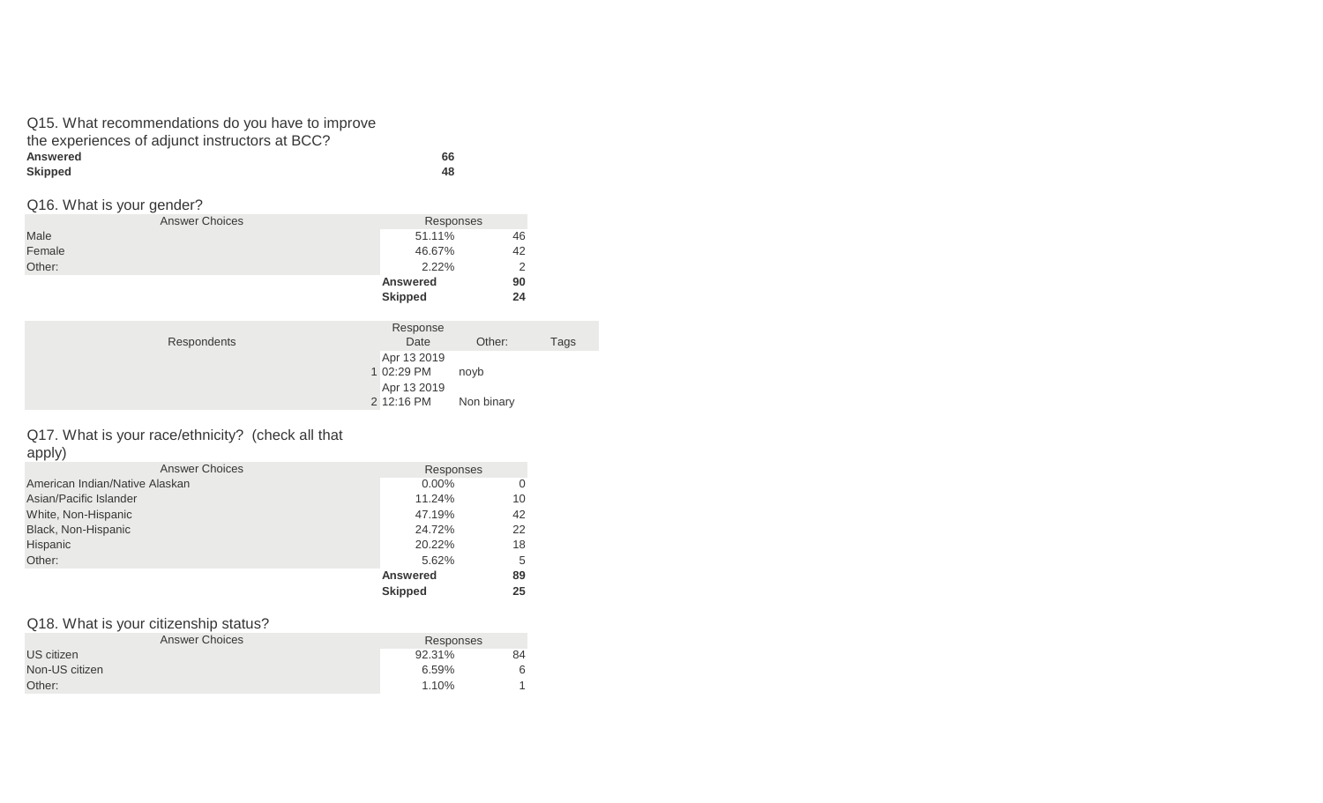| Q15. What recommendations do you have to improve |    |
|--------------------------------------------------|----|
| the experiences of adjunct instructors at BCC?   |    |
| <b>Answered</b>                                  | 66 |
| <b>Skipped</b>                                   | 48 |

#### Q16. What is your gender?

|        | <b>Answer Choices</b> | Responses       |    |  |
|--------|-----------------------|-----------------|----|--|
| Male   |                       | 51.11%          | 46 |  |
| Female |                       | 46.67%          | 42 |  |
| Other: |                       | 2.22%           |    |  |
|        |                       | <b>Answered</b> | 90 |  |
|        |                       | <b>Skipped</b>  | 24 |  |

| Response    |                          |      |
|-------------|--------------------------|------|
| Date        | Other:                   | Tags |
| Apr 13 2019 |                          |      |
|             | novb                     |      |
| Apr 13 2019 |                          |      |
|             | Non binary               |      |
|             | 1 02:29 PM<br>2 12:16 PM |      |

# Q17. What is your race/ethnicity? (check all that

apply)

| <b>Answer Choices</b>          | Responses       |    |
|--------------------------------|-----------------|----|
| American Indian/Native Alaskan | $0.00\%$        | 0  |
| Asian/Pacific Islander         | 11.24%          | 10 |
| White, Non-Hispanic            | 47.19%          | 42 |
| Black, Non-Hispanic            | 24.72%          | 22 |
| Hispanic                       | 20.22%          | 18 |
| Other:                         | 5.62%           | 5  |
|                                | <b>Answered</b> | 89 |
|                                | <b>Skipped</b>  | 25 |

# Q18. What is your citizenship status?

| <b>Answer Choices</b> | Responses |    |
|-----------------------|-----------|----|
| US citizen            | 92.31%    | 84 |
| Non-US citizen        | 6.59%     | 6  |
| Other:                | 1.10%     |    |